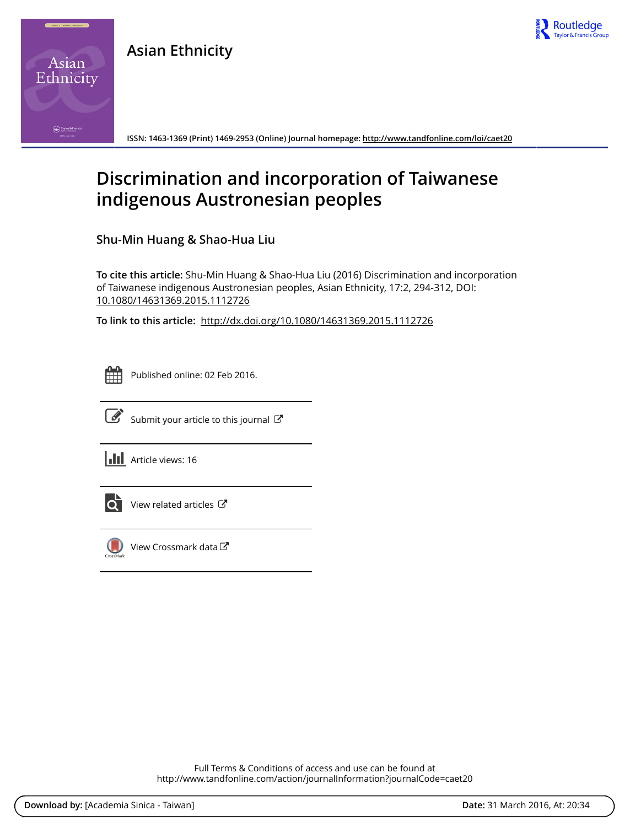

**Asian Ethnicity**



**ISSN: 1463-1369 (Print) 1469-2953 (Online) Journal homepage:<http://www.tandfonline.com/loi/caet20>**

# **Discrimination and incorporation of Taiwanese indigenous Austronesian peoples**

**Shu-Min Huang & Shao-Hua Liu**

**To cite this article:** Shu-Min Huang & Shao-Hua Liu (2016) Discrimination and incorporation of Taiwanese indigenous Austronesian peoples, Asian Ethnicity, 17:2, 294-312, DOI: [10.1080/14631369.2015.1112726](http://www.tandfonline.com/action/showCitFormats?doi=10.1080/14631369.2015.1112726)

**To link to this article:** <http://dx.doi.org/10.1080/14631369.2015.1112726>

Published online: 02 Feb 2016.



 $\overline{\mathscr{L}}$  [Submit your article to this journal](http://www.tandfonline.com/action/authorSubmission?journalCode=caet20&page=instructions)  $\mathbb{Z}$ 

**III** Article views: 16



 $\overrightarrow{Q}$  [View related articles](http://www.tandfonline.com/doi/mlt/10.1080/14631369.2015.1112726)  $\overrightarrow{C}$ 



[View Crossmark data](http://crossmark.crossref.org/dialog/?doi=10.1080/14631369.2015.1112726&domain=pdf&date_stamp=2016-02-02)<sup>で</sup>

Full Terms & Conditions of access and use can be found at <http://www.tandfonline.com/action/journalInformation?journalCode=caet20>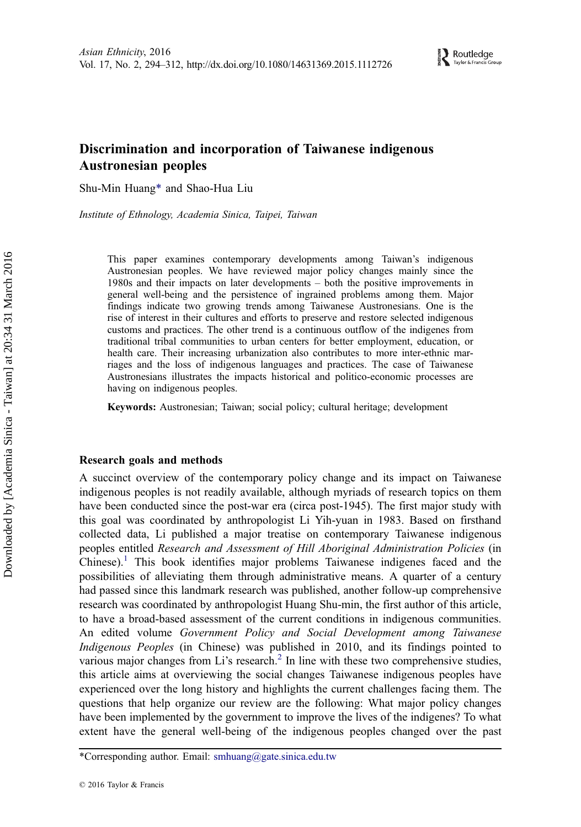# Discrimination and incorporation of Taiwanese indigenous Austronesian peoples

Shu-Min Huang\* and Shao-Hua Liu

Institute of Ethnology, Academia Sinica, Taipei, Taiwan

This paper examines contemporary developments among Taiwan's indigenous Austronesian peoples. We have reviewed major policy changes mainly since the 1980s and their impacts on later developments – both the positive improvements in general well-being and the persistence of ingrained problems among them. Major findings indicate two growing trends among Taiwanese Austronesians. One is the rise of interest in their cultures and efforts to preserve and restore selected indigenous customs and practices. The other trend is a continuous outflow of the indigenes from traditional tribal communities to urban centers for better employment, education, or health care. Their increasing urbanization also contributes to more inter-ethnic marriages and the loss of indigenous languages and practices. The case of Taiwanese Austronesians illustrates the impacts historical and politico-economic processes are having on indigenous peoples.

Keywords: Austronesian; Taiwan; social policy; cultural heritage; development

# Research goals and methods

A succinct overview of the contemporary policy change and its impact on Taiwanese indigenous peoples is not readily available, although myriads of research topics on them have been conducted since the post-war era (circa post-1945). The first major study with this goal was coordinated by anthropologist Li Yih-yuan in 1983. Based on firsthand collected data, Li published a major treatise on contemporary Taiwanese indigenous peoples entitled Research and Assessment of Hill Aboriginal Administration Policies (in Chinese).[1](#page-18-0) This book identifies major problems Taiwanese indigenes faced and the possibilities of alleviating them through administrative means. A quarter of a century had passed since this landmark research was published, another follow-up comprehensive research was coordinated by anthropologist Huang Shu-min, the first author of this article, to have a broad-based assessment of the current conditions in indigenous communities. An edited volume Government Policy and Social Development among Taiwanese Indigenous Peoples (in Chinese) was published in 2010, and its findings pointed to various major changes from Li's research.<sup>[2](#page-18-0)</sup> In line with these two comprehensive studies, this article aims at overviewing the social changes Taiwanese indigenous peoples have experienced over the long history and highlights the current challenges facing them. The questions that help organize our review are the following: What major policy changes have been implemented by the government to improve the lives of the indigenes? To what extent have the general well-being of the indigenous peoples changed over the past

<sup>\*</sup>Corresponding author. Email: smhuang@gate.sinica.edu.tw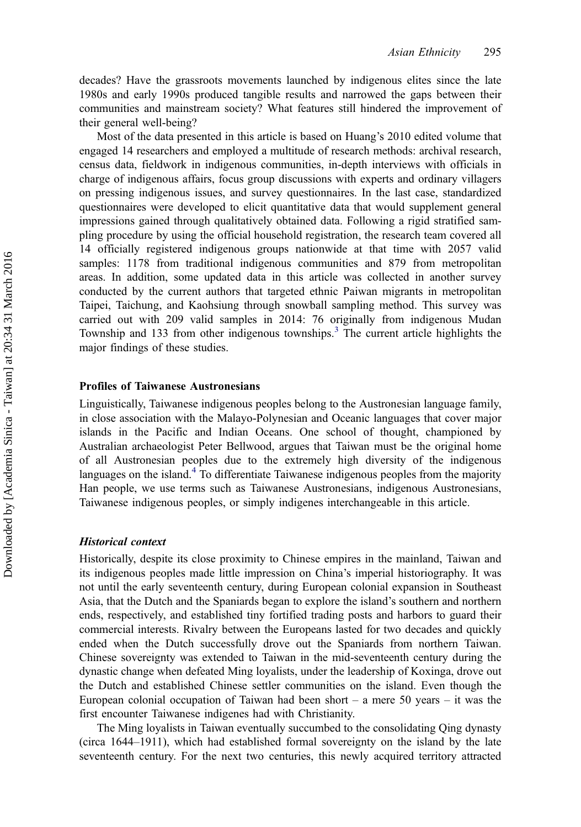decades? Have the grassroots movements launched by indigenous elites since the late 1980s and early 1990s produced tangible results and narrowed the gaps between their communities and mainstream society? What features still hindered the improvement of their general well-being?

Most of the data presented in this article is based on Huang's 2010 edited volume that engaged 14 researchers and employed a multitude of research methods: archival research, census data, fieldwork in indigenous communities, in-depth interviews with officials in charge of indigenous affairs, focus group discussions with experts and ordinary villagers on pressing indigenous issues, and survey questionnaires. In the last case, standardized questionnaires were developed to elicit quantitative data that would supplement general impressions gained through qualitatively obtained data. Following a rigid stratified sampling procedure by using the official household registration, the research team covered all 14 officially registered indigenous groups nationwide at that time with 2057 valid samples: 1178 from traditional indigenous communities and 879 from metropolitan areas. In addition, some updated data in this article was collected in another survey conducted by the current authors that targeted ethnic Paiwan migrants in metropolitan Taipei, Taichung, and Kaohsiung through snowball sampling method. This survey was carried out with 209 valid samples in 2014: 76 originally from indigenous Mudan Township and 1[3](#page-18-0)3 from other indigenous townships.<sup>3</sup> The current article highlights the major findings of these studies.

# Profiles of Taiwanese Austronesians

Linguistically, Taiwanese indigenous peoples belong to the Austronesian language family, in close association with the Malayo-Polynesian and Oceanic languages that cover major islands in the Pacific and Indian Oceans. One school of thought, championed by Australian archaeologist Peter Bellwood, argues that Taiwan must be the original home of all Austronesian peoples due to the extremely high diversity of the indigenous languages on the island.<sup>[4](#page-18-0)</sup> To differentiate Taiwanese indigenous peoples from the majority Han people, we use terms such as Taiwanese Austronesians, indigenous Austronesians, Taiwanese indigenous peoples, or simply indigenes interchangeable in this article.

# Historical context

Historically, despite its close proximity to Chinese empires in the mainland, Taiwan and its indigenous peoples made little impression on China's imperial historiography. It was not until the early seventeenth century, during European colonial expansion in Southeast Asia, that the Dutch and the Spaniards began to explore the island's southern and northern ends, respectively, and established tiny fortified trading posts and harbors to guard their commercial interests. Rivalry between the Europeans lasted for two decades and quickly ended when the Dutch successfully drove out the Spaniards from northern Taiwan. Chinese sovereignty was extended to Taiwan in the mid-seventeenth century during the dynastic change when defeated Ming loyalists, under the leadership of Koxinga, drove out the Dutch and established Chinese settler communities on the island. Even though the European colonial occupation of Taiwan had been short – a mere 50 years – it was the first encounter Taiwanese indigenes had with Christianity.

The Ming loyalists in Taiwan eventually succumbed to the consolidating Qing dynasty (circa 1644–1911), which had established formal sovereignty on the island by the late seventeenth century. For the next two centuries, this newly acquired territory attracted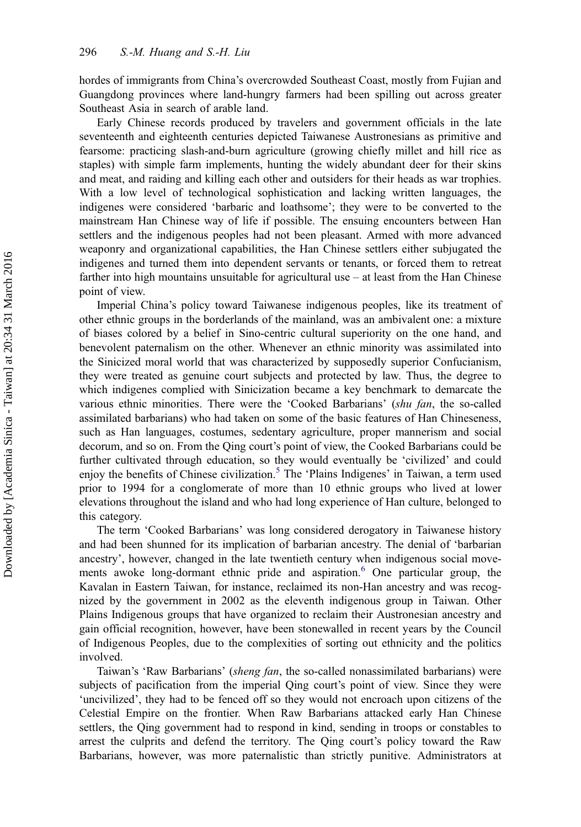hordes of immigrants from China's overcrowded Southeast Coast, mostly from Fujian and Guangdong provinces where land-hungry farmers had been spilling out across greater Southeast Asia in search of arable land.

Early Chinese records produced by travelers and government officials in the late seventeenth and eighteenth centuries depicted Taiwanese Austronesians as primitive and fearsome: practicing slash-and-burn agriculture (growing chiefly millet and hill rice as staples) with simple farm implements, hunting the widely abundant deer for their skins and meat, and raiding and killing each other and outsiders for their heads as war trophies. With a low level of technological sophistication and lacking written languages, the indigenes were considered 'barbaric and loathsome'; they were to be converted to the mainstream Han Chinese way of life if possible. The ensuing encounters between Han settlers and the indigenous peoples had not been pleasant. Armed with more advanced weaponry and organizational capabilities, the Han Chinese settlers either subjugated the indigenes and turned them into dependent servants or tenants, or forced them to retreat farther into high mountains unsuitable for agricultural use – at least from the Han Chinese point of view.

Imperial China's policy toward Taiwanese indigenous peoples, like its treatment of other ethnic groups in the borderlands of the mainland, was an ambivalent one: a mixture of biases colored by a belief in Sino-centric cultural superiority on the one hand, and benevolent paternalism on the other. Whenever an ethnic minority was assimilated into the Sinicized moral world that was characterized by supposedly superior Confucianism, they were treated as genuine court subjects and protected by law. Thus, the degree to which indigenes complied with Sinicization became a key benchmark to demarcate the various ethnic minorities. There were the 'Cooked Barbarians' (shu fan, the so-called assimilated barbarians) who had taken on some of the basic features of Han Chineseness, such as Han languages, costumes, sedentary agriculture, proper mannerism and social decorum, and so on. From the Qing court's point of view, the Cooked Barbarians could be further cultivated through education, so they would eventually be 'civilized' and could enjoy the benefits of Chinese civilization.<sup>[5](#page-18-0)</sup> The 'Plains Indigenes' in Taiwan, a term used prior to 1994 for a conglomerate of more than 10 ethnic groups who lived at lower elevations throughout the island and who had long experience of Han culture, belonged to this category.

The term 'Cooked Barbarians' was long considered derogatory in Taiwanese history and had been shunned for its implication of barbarian ancestry. The denial of 'barbarian ancestry', however, changed in the late twentieth century when indigenous social movements awoke long-dormant ethnic pride and aspiration. $6$  One particular group, the Kavalan in Eastern Taiwan, for instance, reclaimed its non-Han ancestry and was recognized by the government in 2002 as the eleventh indigenous group in Taiwan. Other Plains Indigenous groups that have organized to reclaim their Austronesian ancestry and gain official recognition, however, have been stonewalled in recent years by the Council of Indigenous Peoples, due to the complexities of sorting out ethnicity and the politics involved.

Taiwan's 'Raw Barbarians' (sheng fan, the so-called nonassimilated barbarians) were subjects of pacification from the imperial Qing court's point of view. Since they were 'uncivilized', they had to be fenced off so they would not encroach upon citizens of the Celestial Empire on the frontier. When Raw Barbarians attacked early Han Chinese settlers, the Qing government had to respond in kind, sending in troops or constables to arrest the culprits and defend the territory. The Qing court's policy toward the Raw Barbarians, however, was more paternalistic than strictly punitive. Administrators at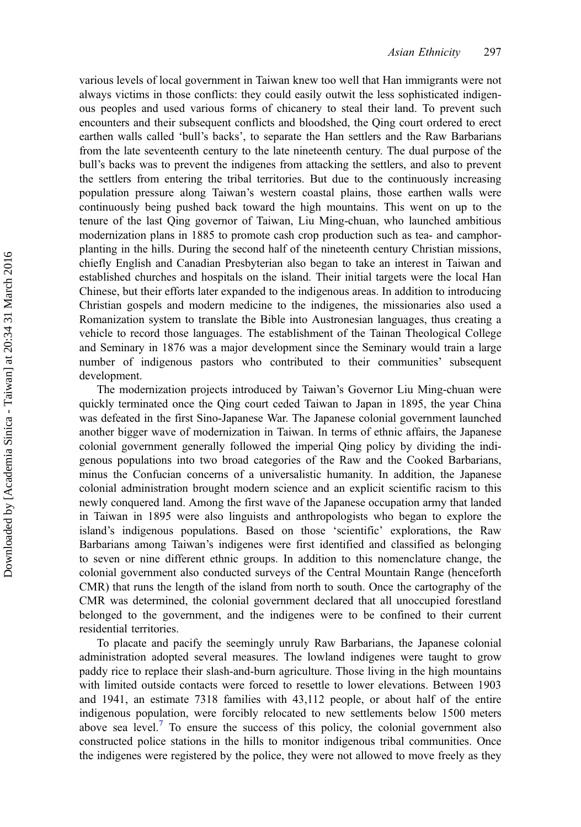various levels of local government in Taiwan knew too well that Han immigrants were not always victims in those conflicts: they could easily outwit the less sophisticated indigenous peoples and used various forms of chicanery to steal their land. To prevent such encounters and their subsequent conflicts and bloodshed, the Qing court ordered to erect earthen walls called 'bull's backs', to separate the Han settlers and the Raw Barbarians from the late seventeenth century to the late nineteenth century. The dual purpose of the bull's backs was to prevent the indigenes from attacking the settlers, and also to prevent the settlers from entering the tribal territories. But due to the continuously increasing population pressure along Taiwan's western coastal plains, those earthen walls were continuously being pushed back toward the high mountains. This went on up to the tenure of the last Qing governor of Taiwan, Liu Ming-chuan, who launched ambitious modernization plans in 1885 to promote cash crop production such as tea- and camphorplanting in the hills. During the second half of the nineteenth century Christian missions, chiefly English and Canadian Presbyterian also began to take an interest in Taiwan and established churches and hospitals on the island. Their initial targets were the local Han Chinese, but their efforts later expanded to the indigenous areas. In addition to introducing Christian gospels and modern medicine to the indigenes, the missionaries also used a Romanization system to translate the Bible into Austronesian languages, thus creating a vehicle to record those languages. The establishment of the Tainan Theological College and Seminary in 1876 was a major development since the Seminary would train a large number of indigenous pastors who contributed to their communities' subsequent development.

The modernization projects introduced by Taiwan's Governor Liu Ming-chuan were quickly terminated once the Qing court ceded Taiwan to Japan in 1895, the year China was defeated in the first Sino-Japanese War. The Japanese colonial government launched another bigger wave of modernization in Taiwan. In terms of ethnic affairs, the Japanese colonial government generally followed the imperial Qing policy by dividing the indigenous populations into two broad categories of the Raw and the Cooked Barbarians, minus the Confucian concerns of a universalistic humanity. In addition, the Japanese colonial administration brought modern science and an explicit scientific racism to this newly conquered land. Among the first wave of the Japanese occupation army that landed in Taiwan in 1895 were also linguists and anthropologists who began to explore the island's indigenous populations. Based on those 'scientific' explorations, the Raw Barbarians among Taiwan's indigenes were first identified and classified as belonging to seven or nine different ethnic groups. In addition to this nomenclature change, the colonial government also conducted surveys of the Central Mountain Range (henceforth CMR) that runs the length of the island from north to south. Once the cartography of the CMR was determined, the colonial government declared that all unoccupied forestland belonged to the government, and the indigenes were to be confined to their current residential territories.

To placate and pacify the seemingly unruly Raw Barbarians, the Japanese colonial administration adopted several measures. The lowland indigenes were taught to grow paddy rice to replace their slash-and-burn agriculture. Those living in the high mountains with limited outside contacts were forced to resettle to lower elevations. Between 1903 and 1941, an estimate 7318 families with 43,112 people, or about half of the entire indigenous population, were forcibly relocated to new settlements below 1500 meters above sea level. $<sup>7</sup>$  $<sup>7</sup>$  $<sup>7</sup>$  To ensure the success of this policy, the colonial government also</sup> constructed police stations in the hills to monitor indigenous tribal communities. Once the indigenes were registered by the police, they were not allowed to move freely as they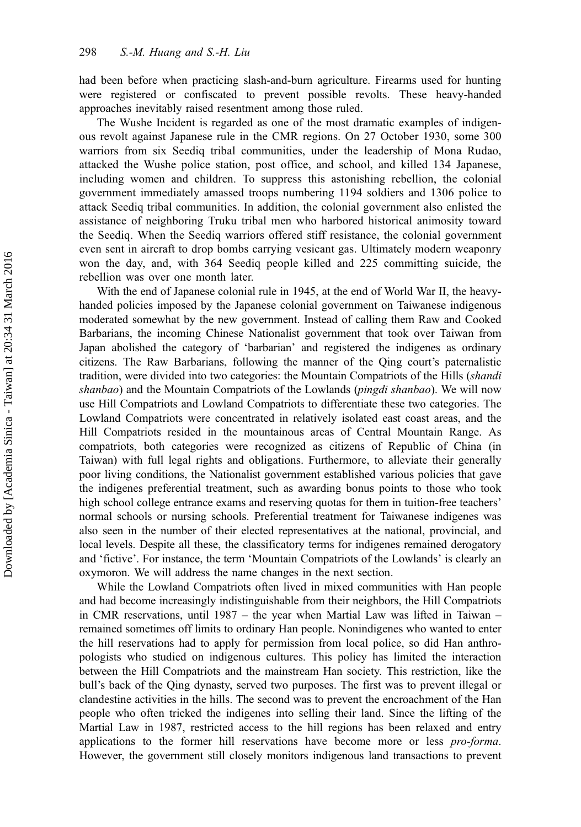had been before when practicing slash-and-burn agriculture. Firearms used for hunting were registered or confiscated to prevent possible revolts. These heavy-handed approaches inevitably raised resentment among those ruled.

The Wushe Incident is regarded as one of the most dramatic examples of indigenous revolt against Japanese rule in the CMR regions. On 27 October 1930, some 300 warriors from six Seediq tribal communities, under the leadership of Mona Rudao, attacked the Wushe police station, post office, and school, and killed 134 Japanese, including women and children. To suppress this astonishing rebellion, the colonial government immediately amassed troops numbering 1194 soldiers and 1306 police to attack Seediq tribal communities. In addition, the colonial government also enlisted the assistance of neighboring Truku tribal men who harbored historical animosity toward the Seediq. When the Seediq warriors offered stiff resistance, the colonial government even sent in aircraft to drop bombs carrying vesicant gas. Ultimately modern weaponry won the day, and, with 364 Seediq people killed and 225 committing suicide, the rebellion was over one month later.

With the end of Japanese colonial rule in 1945, at the end of World War II, the heavyhanded policies imposed by the Japanese colonial government on Taiwanese indigenous moderated somewhat by the new government. Instead of calling them Raw and Cooked Barbarians, the incoming Chinese Nationalist government that took over Taiwan from Japan abolished the category of 'barbarian' and registered the indigenes as ordinary citizens. The Raw Barbarians, following the manner of the Qing court's paternalistic tradition, were divided into two categories: the Mountain Compatriots of the Hills (shandi shanbao) and the Mountain Compatriots of the Lowlands (pingdi shanbao). We will now use Hill Compatriots and Lowland Compatriots to differentiate these two categories. The Lowland Compatriots were concentrated in relatively isolated east coast areas, and the Hill Compatriots resided in the mountainous areas of Central Mountain Range. As compatriots, both categories were recognized as citizens of Republic of China (in Taiwan) with full legal rights and obligations. Furthermore, to alleviate their generally poor living conditions, the Nationalist government established various policies that gave the indigenes preferential treatment, such as awarding bonus points to those who took high school college entrance exams and reserving quotas for them in tuition-free teachers' normal schools or nursing schools. Preferential treatment for Taiwanese indigenes was also seen in the number of their elected representatives at the national, provincial, and local levels. Despite all these, the classificatory terms for indigenes remained derogatory and 'fictive'. For instance, the term 'Mountain Compatriots of the Lowlands' is clearly an oxymoron. We will address the name changes in the next section.

While the Lowland Compatriots often lived in mixed communities with Han people and had become increasingly indistinguishable from their neighbors, the Hill Compatriots in CMR reservations, until 1987 – the year when Martial Law was lifted in Taiwan – remained sometimes off limits to ordinary Han people. Nonindigenes who wanted to enter the hill reservations had to apply for permission from local police, so did Han anthropologists who studied on indigenous cultures. This policy has limited the interaction between the Hill Compatriots and the mainstream Han society. This restriction, like the bull's back of the Qing dynasty, served two purposes. The first was to prevent illegal or clandestine activities in the hills. The second was to prevent the encroachment of the Han people who often tricked the indigenes into selling their land. Since the lifting of the Martial Law in 1987, restricted access to the hill regions has been relaxed and entry applications to the former hill reservations have become more or less *pro-forma*. However, the government still closely monitors indigenous land transactions to prevent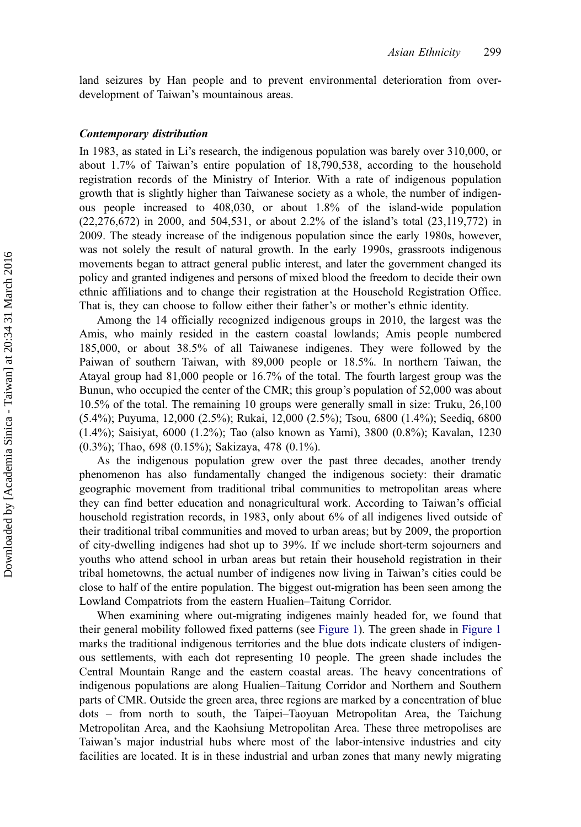land seizures by Han people and to prevent environmental deterioration from overdevelopment of Taiwan's mountainous areas.

#### Contemporary distribution

In 1983, as stated in Li's research, the indigenous population was barely over 310,000, or about 1.7% of Taiwan's entire population of 18,790,538, according to the household registration records of the Ministry of Interior. With a rate of indigenous population growth that is slightly higher than Taiwanese society as a whole, the number of indigenous people increased to 408,030, or about 1.8% of the island-wide population (22,276,672) in 2000, and 504,531, or about 2.2% of the island's total (23,119,772) in 2009. The steady increase of the indigenous population since the early 1980s, however, was not solely the result of natural growth. In the early 1990s, grassroots indigenous movements began to attract general public interest, and later the government changed its policy and granted indigenes and persons of mixed blood the freedom to decide their own ethnic affiliations and to change their registration at the Household Registration Office. That is, they can choose to follow either their father's or mother's ethnic identity.

Among the 14 officially recognized indigenous groups in 2010, the largest was the Amis, who mainly resided in the eastern coastal lowlands; Amis people numbered 185,000, or about 38.5% of all Taiwanese indigenes. They were followed by the Paiwan of southern Taiwan, with 89,000 people or 18.5%. In northern Taiwan, the Atayal group had 81,000 people or 16.7% of the total. The fourth largest group was the Bunun, who occupied the center of the CMR; this group's population of 52,000 was about 10.5% of the total. The remaining 10 groups were generally small in size: Truku, 26,100 (5.4%); Puyuma, 12,000 (2.5%); Rukai, 12,000 (2.5%); Tsou, 6800 (1.4%); Seediq, 6800 (1.4%); Saisiyat, 6000 (1.2%); Tao (also known as Yami), 3800 (0.8%); Kavalan, 1230 (0.3%); Thao, 698 (0.15%); Sakizaya, 478 (0.1%).

As the indigenous population grew over the past three decades, another trendy phenomenon has also fundamentally changed the indigenous society: their dramatic geographic movement from traditional tribal communities to metropolitan areas where they can find better education and nonagricultural work. According to Taiwan's official household registration records, in 1983, only about 6% of all indigenes lived outside of their traditional tribal communities and moved to urban areas; but by 2009, the proportion of city-dwelling indigenes had shot up to 39%. If we include short-term sojourners and youths who attend school in urban areas but retain their household registration in their tribal hometowns, the actual number of indigenes now living in Taiwan's cities could be close to half of the entire population. The biggest out-migration has been seen among the Lowland Compatriots from the eastern Hualien–Taitung Corridor.

When examining where out-migrating indigenes mainly headed for, we found that their general mobility followed fixed patterns (see [Figure 1](#page-7-0)). The green shade in [Figure 1](#page-7-0) marks the traditional indigenous territories and the blue dots indicate clusters of indigenous settlements, with each dot representing 10 people. The green shade includes the Central Mountain Range and the eastern coastal areas. The heavy concentrations of indigenous populations are along Hualien–Taitung Corridor and Northern and Southern parts of CMR. Outside the green area, three regions are marked by a concentration of blue dots – from north to south, the Taipei–Taoyuan Metropolitan Area, the Taichung Metropolitan Area, and the Kaohsiung Metropolitan Area. These three metropolises are Taiwan's major industrial hubs where most of the labor-intensive industries and city facilities are located. It is in these industrial and urban zones that many newly migrating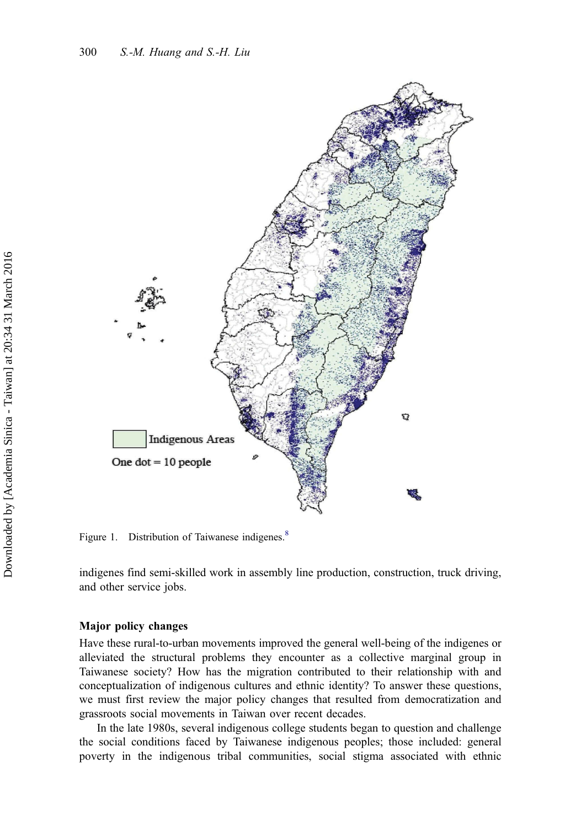<span id="page-7-0"></span>

Figure 1. Distribution of Taiwanese indigenes.<sup>[8](#page-18-0)</sup>

indigenes find semi-skilled work in assembly line production, construction, truck driving, and other service jobs.

#### Major policy changes

Have these rural-to-urban movements improved the general well-being of the indigenes or alleviated the structural problems they encounter as a collective marginal group in Taiwanese society? How has the migration contributed to their relationship with and conceptualization of indigenous cultures and ethnic identity? To answer these questions, we must first review the major policy changes that resulted from democratization and grassroots social movements in Taiwan over recent decades.

In the late 1980s, several indigenous college students began to question and challenge the social conditions faced by Taiwanese indigenous peoples; those included: general poverty in the indigenous tribal communities, social stigma associated with ethnic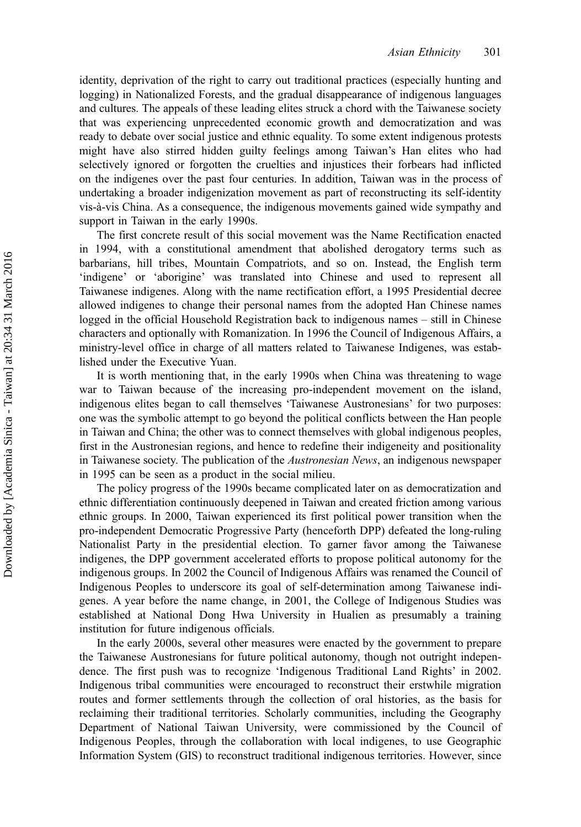identity, deprivation of the right to carry out traditional practices (especially hunting and logging) in Nationalized Forests, and the gradual disappearance of indigenous languages and cultures. The appeals of these leading elites struck a chord with the Taiwanese society that was experiencing unprecedented economic growth and democratization and was ready to debate over social justice and ethnic equality. To some extent indigenous protests might have also stirred hidden guilty feelings among Taiwan's Han elites who had selectively ignored or forgotten the cruelties and injustices their forbears had inflicted on the indigenes over the past four centuries. In addition, Taiwan was in the process of undertaking a broader indigenization movement as part of reconstructing its self-identity vis-à-vis China. As a consequence, the indigenous movements gained wide sympathy and support in Taiwan in the early 1990s.

The first concrete result of this social movement was the Name Rectification enacted in 1994, with a constitutional amendment that abolished derogatory terms such as barbarians, hill tribes, Mountain Compatriots, and so on. Instead, the English term 'indigene' or 'aborigine' was translated into Chinese and used to represent all Taiwanese indigenes. Along with the name rectification effort, a 1995 Presidential decree allowed indigenes to change their personal names from the adopted Han Chinese names logged in the official Household Registration back to indigenous names – still in Chinese characters and optionally with Romanization. In 1996 the Council of Indigenous Affairs, a ministry-level office in charge of all matters related to Taiwanese Indigenes, was established under the Executive Yuan.

It is worth mentioning that, in the early 1990s when China was threatening to wage war to Taiwan because of the increasing pro-independent movement on the island, indigenous elites began to call themselves 'Taiwanese Austronesians' for two purposes: one was the symbolic attempt to go beyond the political conflicts between the Han people in Taiwan and China; the other was to connect themselves with global indigenous peoples, first in the Austronesian regions, and hence to redefine their indigeneity and positionality in Taiwanese society. The publication of the *Austronesian News*, an indigenous newspaper in 1995 can be seen as a product in the social milieu.

The policy progress of the 1990s became complicated later on as democratization and ethnic differentiation continuously deepened in Taiwan and created friction among various ethnic groups. In 2000, Taiwan experienced its first political power transition when the pro-independent Democratic Progressive Party (henceforth DPP) defeated the long-ruling Nationalist Party in the presidential election. To garner favor among the Taiwanese indigenes, the DPP government accelerated efforts to propose political autonomy for the indigenous groups. In 2002 the Council of Indigenous Affairs was renamed the Council of Indigenous Peoples to underscore its goal of self-determination among Taiwanese indigenes. A year before the name change, in 2001, the College of Indigenous Studies was established at National Dong Hwa University in Hualien as presumably a training institution for future indigenous officials.

In the early 2000s, several other measures were enacted by the government to prepare the Taiwanese Austronesians for future political autonomy, though not outright independence. The first push was to recognize 'Indigenous Traditional Land Rights' in 2002. Indigenous tribal communities were encouraged to reconstruct their erstwhile migration routes and former settlements through the collection of oral histories, as the basis for reclaiming their traditional territories. Scholarly communities, including the Geography Department of National Taiwan University, were commissioned by the Council of Indigenous Peoples, through the collaboration with local indigenes, to use Geographic Information System (GIS) to reconstruct traditional indigenous territories. However, since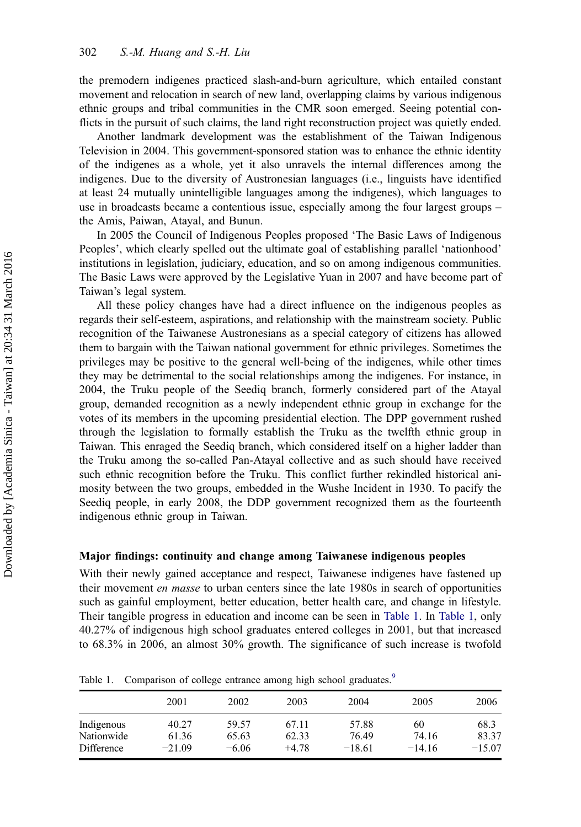<span id="page-9-0"></span>the premodern indigenes practiced slash-and-burn agriculture, which entailed constant movement and relocation in search of new land, overlapping claims by various indigenous ethnic groups and tribal communities in the CMR soon emerged. Seeing potential conflicts in the pursuit of such claims, the land right reconstruction project was quietly ended.

Another landmark development was the establishment of the Taiwan Indigenous Television in 2004. This government-sponsored station was to enhance the ethnic identity of the indigenes as a whole, yet it also unravels the internal differences among the indigenes. Due to the diversity of Austronesian languages (i.e., linguists have identified at least 24 mutually unintelligible languages among the indigenes), which languages to use in broadcasts became a contentious issue, especially among the four largest groups – the Amis, Paiwan, Atayal, and Bunun.

In 2005 the Council of Indigenous Peoples proposed 'The Basic Laws of Indigenous Peoples', which clearly spelled out the ultimate goal of establishing parallel 'nationhood' institutions in legislation, judiciary, education, and so on among indigenous communities. The Basic Laws were approved by the Legislative Yuan in 2007 and have become part of Taiwan's legal system.

All these policy changes have had a direct influence on the indigenous peoples as regards their self-esteem, aspirations, and relationship with the mainstream society. Public recognition of the Taiwanese Austronesians as a special category of citizens has allowed them to bargain with the Taiwan national government for ethnic privileges. Sometimes the privileges may be positive to the general well-being of the indigenes, while other times they may be detrimental to the social relationships among the indigenes. For instance, in 2004, the Truku people of the Seediq branch, formerly considered part of the Atayal group, demanded recognition as a newly independent ethnic group in exchange for the votes of its members in the upcoming presidential election. The DPP government rushed through the legislation to formally establish the Truku as the twelfth ethnic group in Taiwan. This enraged the Seediq branch, which considered itself on a higher ladder than the Truku among the so-called Pan-Atayal collective and as such should have received such ethnic recognition before the Truku. This conflict further rekindled historical animosity between the two groups, embedded in the Wushe Incident in 1930. To pacify the Seediq people, in early 2008, the DDP government recognized them as the fourteenth indigenous ethnic group in Taiwan.

# Major findings: continuity and change among Taiwanese indigenous peoples

With their newly gained acceptance and respect, Taiwanese indigenes have fastened up their movement *en masse* to urban centers since the late 1980s in search of opportunities such as gainful employment, better education, better health care, and change in lifestyle. Their tangible progress in education and income can be seen in Table 1. In Table 1, only 40.27% of indigenous high school graduates entered colleges in 2001, but that increased to 68.3% in 2006, an almost 30% growth. The significance of such increase is twofold

|                   | 2001     | 2002    | 2003    | 2004     | 2005     | 2006     |  |
|-------------------|----------|---------|---------|----------|----------|----------|--|
| Indigenous        | 40.27    | 59.57   | 67.11   | 57.88    | 60       | 68.3     |  |
| Nationwide        | 61.36    | 65.63   | 62.33   | 76.49    | 74.16    | 83.37    |  |
| <b>Difference</b> | $-21.09$ | $-6.06$ | $+4.78$ | $-18.61$ | $-14.16$ | $-15.07$ |  |

Table 1. Comparison of college entrance among high school graduates.<sup>[9](#page-18-0)</sup>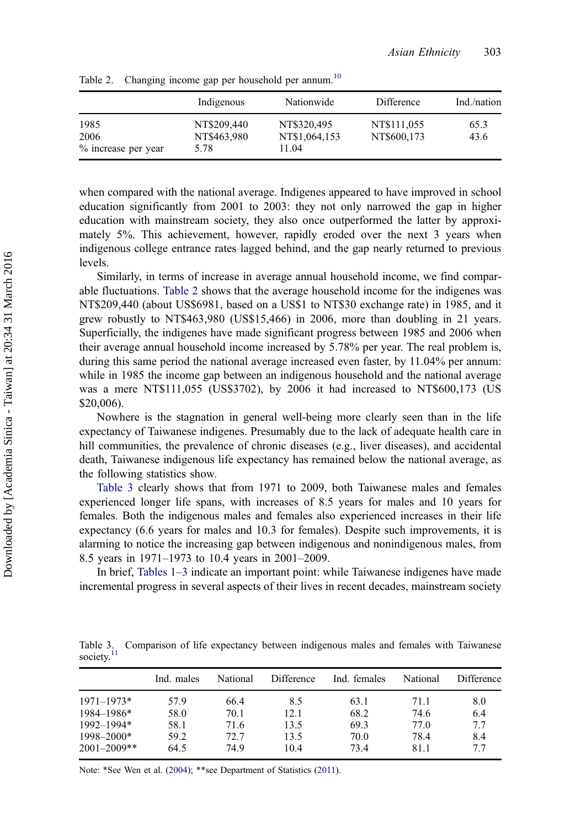|                                     | Indigenous                         | Nationwide                            | Difference                 | Ind./nation  |
|-------------------------------------|------------------------------------|---------------------------------------|----------------------------|--------------|
| 1985<br>2006<br>% increase per year | NT\$209,440<br>NT\$463,980<br>5.78 | NT\$320,495<br>NT\$1,064,153<br>11.04 | NT\$111,055<br>NT\$600,173 | 65.3<br>43.6 |

<span id="page-10-0"></span>Table 2. Changing income gap per household per annum.<sup>[10](#page-18-0)</sup>

when compared with the national average. Indigenes appeared to have improved in school education significantly from 2001 to 2003: they not only narrowed the gap in higher education with mainstream society, they also once outperformed the latter by approximately 5%. This achievement, however, rapidly eroded over the next 3 years when indigenous college entrance rates lagged behind, and the gap nearly returned to previous levels.

Similarly, in terms of increase in average annual household income, we find comparable fluctuations. Table 2 shows that the average household income for the indigenes was NT\$209,440 (about US\$6981, based on a US\$1 to NT\$30 exchange rate) in 1985, and it grew robustly to NT\$463,980 (US\$15,466) in 2006, more than doubling in 21 years. Superficially, the indigenes have made significant progress between 1985 and 2006 when their average annual household income increased by 5.78% per year. The real problem is, during this same period the national average increased even faster, by 11.04% per annum: while in 1985 the income gap between an indigenous household and the national average was a mere NT\$111,055 (US\$3702), by 2006 it had increased to NT\$600,173 (US \$20,006).

Nowhere is the stagnation in general well-being more clearly seen than in the life expectancy of Taiwanese indigenes. Presumably due to the lack of adequate health care in hill communities, the prevalence of chronic diseases (e.g., liver diseases), and accidental death, Taiwanese indigenous life expectancy has remained below the national average, as the following statistics show.

Table 3 clearly shows that from 1971 to 2009, both Taiwanese males and females experienced longer life spans, with increases of 8.5 years for males and 10 years for females. Both the indigenous males and females also experienced increases in their life expectancy (6.6 years for males and 10.3 for females). Despite such improvements, it is alarming to notice the increasing gap between indigenous and nonindigenous males, from 8.5 years in 1971–1973 to 10.4 years in 2001–2009.

In brief, [Tables 1](#page-9-0)–3 indicate an important point: while Taiwanese indigenes have made incremental progress in several aspects of their lives in recent decades, mainstream society

Table 3. Comparison of life expectancy between indigenous males and females with Taiwanese society.<sup>[11](#page-18-0)</sup>

|                 | Ind. males | National | Difference | Ind. females | National | Difference |
|-----------------|------------|----------|------------|--------------|----------|------------|
| $1971 - 1973*$  | 57.9       | 66.4     | 8.5        | 63.1         | 71.1     | 8.0        |
| 1984–1986*      | 58.0       | 70.1     | 12.1       | 68.2         | 74.6     | 6.4        |
| 1992-1994*      | 58.1       | 71.6     | 13.5       | 69.3         | 77.0     | 7.7        |
| $1998 - 2000*$  | 59.2       | 72.7     | 13.5       | 70.0         | 78.4     | 8.4        |
| $2001 - 2009**$ | 64.5       | 74.9     | 10.4       | 73.4         | 81.1     | 7.7        |

Note: \*See Wen et al. [\(2004](#page-19-0)); \*\*see Department of Statistics ([2011](#page-19-0)).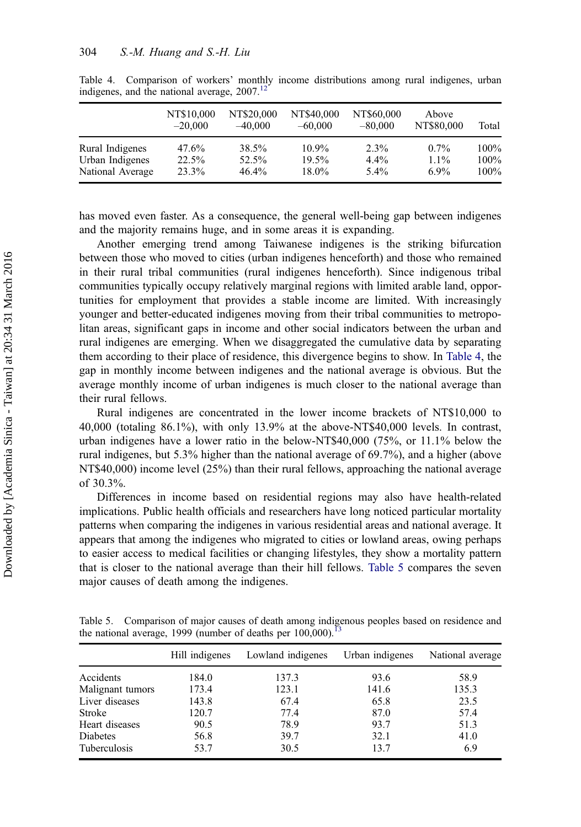| $-40,000$      | $-60,000$                                     | NT\$40,000<br>NT\$60,000<br>$-80,000$ | Above<br>NT\$80,000 | Total                   |
|----------------|-----------------------------------------------|---------------------------------------|---------------------|-------------------------|
| 38.5%<br>52.5% | $10.9\%$<br>19.5%                             | $2.3\%$<br>4.4%                       | $0.7\%$<br>$1.1\%$  | 100%<br>100%<br>$100\%$ |
|                | $-20,000$<br>47.6%<br>22.5%<br>23.3%<br>46.4% | 18.0%                                 | $5.4\%$             | $6.9\%$                 |

<span id="page-11-0"></span>Table 4. Comparison of workers' monthly income distributions among rural indigenes, urban indigenes, and the national average,  $2007$ .<sup>[12](#page-18-0)</sup>

has moved even faster. As a consequence, the general well-being gap between indigenes and the majority remains huge, and in some areas it is expanding.

Another emerging trend among Taiwanese indigenes is the striking bifurcation between those who moved to cities (urban indigenes henceforth) and those who remained in their rural tribal communities (rural indigenes henceforth). Since indigenous tribal communities typically occupy relatively marginal regions with limited arable land, opportunities for employment that provides a stable income are limited. With increasingly younger and better-educated indigenes moving from their tribal communities to metropolitan areas, significant gaps in income and other social indicators between the urban and rural indigenes are emerging. When we disaggregated the cumulative data by separating them according to their place of residence, this divergence begins to show. In Table 4, the gap in monthly income between indigenes and the national average is obvious. But the average monthly income of urban indigenes is much closer to the national average than their rural fellows.

Rural indigenes are concentrated in the lower income brackets of NT\$10,000 to 40,000 (totaling 86.1%), with only 13.9% at the above-NT\$40,000 levels. In contrast, urban indigenes have a lower ratio in the below-NT\$40,000 (75%, or 11.1% below the rural indigenes, but 5.3% higher than the national average of 69.7%), and a higher (above NT\$40,000) income level (25%) than their rural fellows, approaching the national average of 30.3%.

Differences in income based on residential regions may also have health-related implications. Public health officials and researchers have long noticed particular mortality patterns when comparing the indigenes in various residential areas and national average. It appears that among the indigenes who migrated to cities or lowland areas, owing perhaps to easier access to medical facilities or changing lifestyles, they show a mortality pattern that is closer to the national average than their hill fellows. Table 5 compares the seven major causes of death among the indigenes.

Table 5. Comparison of major causes of death among indigenous peoples based on residence and the national average,  $1999$  (number of deaths per  $100,000$ ).

|                  | Hill indigenes | Lowland indigenes | Urban indigenes | National average |
|------------------|----------------|-------------------|-----------------|------------------|
| Accidents        | 184.0          | 137.3             | 93.6            | 58.9             |
| Malignant tumors | 173.4          | 123.1             | 141.6           | 135.3            |
| Liver diseases   | 143.8          | 67.4              | 65.8            | 23.5             |
| Stroke           | 120.7          | 77.4              | 87.0            | 57.4             |
| Heart diseases   | 90.5           | 78.9              | 93.7            | 51.3             |
| Diabetes         | 56.8           | 39.7              | 32.1            | 41.0             |
| Tuberculosis     | 53.7           | 30.5              | 13.7            | 6.9              |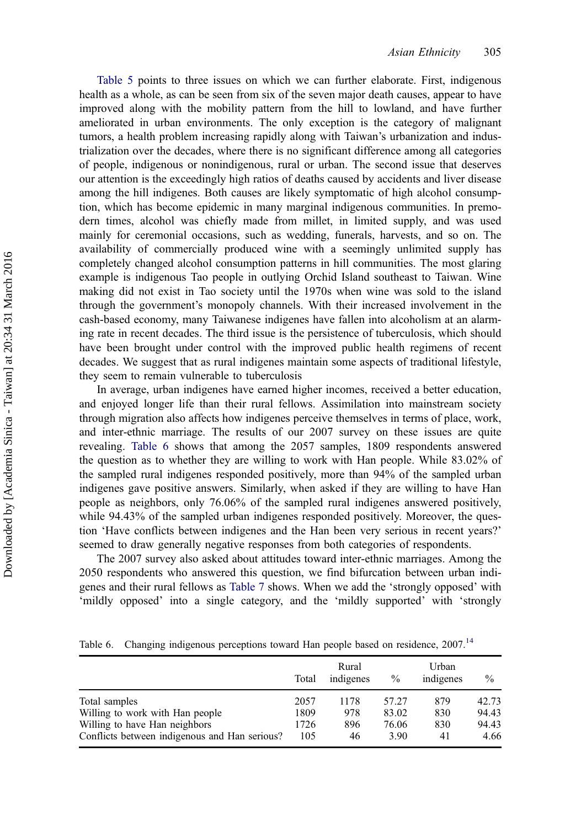[Table 5](#page-11-0) points to three issues on which we can further elaborate. First, indigenous health as a whole, as can be seen from six of the seven major death causes, appear to have improved along with the mobility pattern from the hill to lowland, and have further ameliorated in urban environments. The only exception is the category of malignant tumors, a health problem increasing rapidly along with Taiwan's urbanization and industrialization over the decades, where there is no significant difference among all categories of people, indigenous or nonindigenous, rural or urban. The second issue that deserves our attention is the exceedingly high ratios of deaths caused by accidents and liver disease among the hill indigenes. Both causes are likely symptomatic of high alcohol consumption, which has become epidemic in many marginal indigenous communities. In premodern times, alcohol was chiefly made from millet, in limited supply, and was used mainly for ceremonial occasions, such as wedding, funerals, harvests, and so on. The availability of commercially produced wine with a seemingly unlimited supply has completely changed alcohol consumption patterns in hill communities. The most glaring example is indigenous Tao people in outlying Orchid Island southeast to Taiwan. Wine making did not exist in Tao society until the 1970s when wine was sold to the island through the government's monopoly channels. With their increased involvement in the cash-based economy, many Taiwanese indigenes have fallen into alcoholism at an alarming rate in recent decades. The third issue is the persistence of tuberculosis, which should have been brought under control with the improved public health regimens of recent decades. We suggest that as rural indigenes maintain some aspects of traditional lifestyle, they seem to remain vulnerable to tuberculosis

In average, urban indigenes have earned higher incomes, received a better education, and enjoyed longer life than their rural fellows. Assimilation into mainstream society through migration also affects how indigenes perceive themselves in terms of place, work, and inter-ethnic marriage. The results of our 2007 survey on these issues are quite revealing. Table 6 shows that among the 2057 samples, 1809 respondents answered the question as to whether they are willing to work with Han people. While 83.02% of the sampled rural indigenes responded positively, more than 94% of the sampled urban indigenes gave positive answers. Similarly, when asked if they are willing to have Han people as neighbors, only 76.06% of the sampled rural indigenes answered positively, while 94.43% of the sampled urban indigenes responded positively. Moreover, the question 'Have conflicts between indigenes and the Han been very serious in recent years?' seemed to draw generally negative responses from both categories of respondents.

The 2007 survey also asked about attitudes toward inter-ethnic marriages. Among the 2050 respondents who answered this question, we find bifurcation between urban indigenes and their rural fellows as [Table 7](#page-13-0) shows. When we add the 'strongly opposed' with 'mildly opposed' into a single category, and the 'mildly supported' with 'strongly

Table 6. Changing indigenous perceptions toward Han people based on residence, 2007.<sup>[14](#page-18-0)</sup>

|                                               | Total | Rural<br>indigenes | $\%$  | Urban<br>indigenes | $\%$  |
|-----------------------------------------------|-------|--------------------|-------|--------------------|-------|
| Total samples                                 | 2057  | 1178               | 57.27 | 879                | 42.73 |
| Willing to work with Han people               | 1809  | 978                | 83.02 | 830                | 94.43 |
| Willing to have Han neighbors                 | 1726  | 896                | 76.06 | 830                | 94.43 |
| Conflicts between indigenous and Han serious? | 105   | 46                 | 3.90  | 41                 | 4.66  |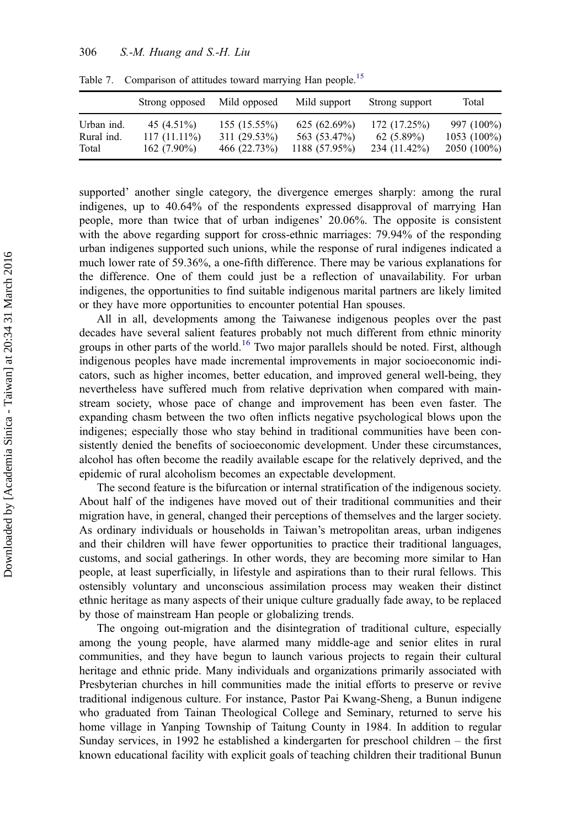|            | Strong opposed | Mild opposed   | Mild support    | Strong support | Total         |
|------------|----------------|----------------|-----------------|----------------|---------------|
| Urban ind. | 45 $(4.51\%)$  | 155(15.55%)    | $625(62.69\%)$  | 172 (17.25%)   | 997 (100%)    |
| Rural ind. | $117(11.11\%)$ | $311(29.53\%)$ | 563 (53.47%)    | $62(5.89\%)$   | $1053(100\%)$ |
| Total      | $162(7.90\%)$  | 466 (22.73%)   | $1188(57.95\%)$ | 234 (11.42%)   | 2050 (100%)   |

<span id="page-13-0"></span>Table 7. Comparison of attitudes toward marrying Han people.<sup>[15](#page-19-0)</sup>

supported' another single category, the divergence emerges sharply: among the rural indigenes, up to 40.64% of the respondents expressed disapproval of marrying Han people, more than twice that of urban indigenes' 20.06%. The opposite is consistent with the above regarding support for cross-ethnic marriages: 79.94% of the responding urban indigenes supported such unions, while the response of rural indigenes indicated a much lower rate of 59.36%, a one-fifth difference. There may be various explanations for the difference. One of them could just be a reflection of unavailability. For urban indigenes, the opportunities to find suitable indigenous marital partners are likely limited or they have more opportunities to encounter potential Han spouses.

All in all, developments among the Taiwanese indigenous peoples over the past decades have several salient features probably not much different from ethnic minority groups in other parts of the world.<sup>[16](#page-19-0)</sup> Two major parallels should be noted. First, although indigenous peoples have made incremental improvements in major socioeconomic indicators, such as higher incomes, better education, and improved general well-being, they nevertheless have suffered much from relative deprivation when compared with mainstream society, whose pace of change and improvement has been even faster. The expanding chasm between the two often inflicts negative psychological blows upon the indigenes; especially those who stay behind in traditional communities have been consistently denied the benefits of socioeconomic development. Under these circumstances, alcohol has often become the readily available escape for the relatively deprived, and the epidemic of rural alcoholism becomes an expectable development.

The second feature is the bifurcation or internal stratification of the indigenous society. About half of the indigenes have moved out of their traditional communities and their migration have, in general, changed their perceptions of themselves and the larger society. As ordinary individuals or households in Taiwan's metropolitan areas, urban indigenes and their children will have fewer opportunities to practice their traditional languages, customs, and social gatherings. In other words, they are becoming more similar to Han people, at least superficially, in lifestyle and aspirations than to their rural fellows. This ostensibly voluntary and unconscious assimilation process may weaken their distinct ethnic heritage as many aspects of their unique culture gradually fade away, to be replaced by those of mainstream Han people or globalizing trends.

The ongoing out-migration and the disintegration of traditional culture, especially among the young people, have alarmed many middle-age and senior elites in rural communities, and they have begun to launch various projects to regain their cultural heritage and ethnic pride. Many individuals and organizations primarily associated with Presbyterian churches in hill communities made the initial efforts to preserve or revive traditional indigenous culture. For instance, Pastor Pai Kwang-Sheng, a Bunun indigene who graduated from Tainan Theological College and Seminary, returned to serve his home village in Yanping Township of Taitung County in 1984. In addition to regular Sunday services, in 1992 he established a kindergarten for preschool children – the first known educational facility with explicit goals of teaching children their traditional Bunun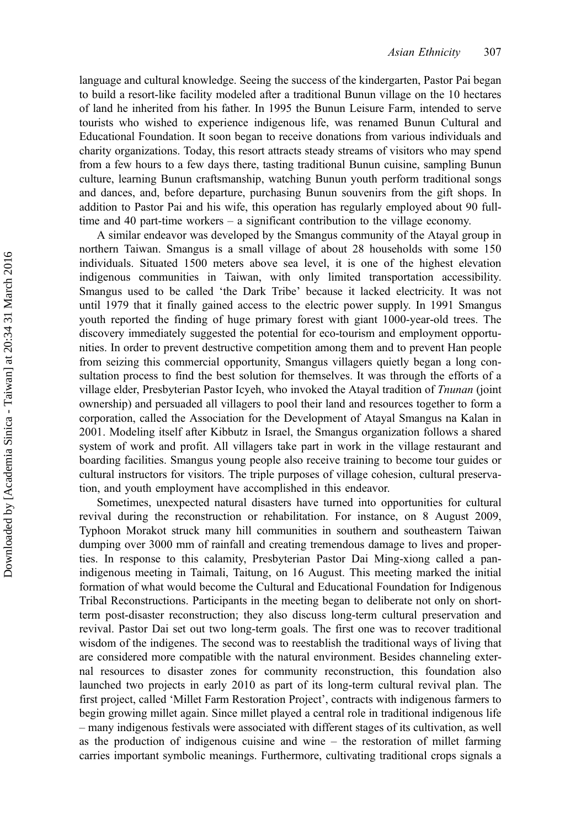language and cultural knowledge. Seeing the success of the kindergarten, Pastor Pai began to build a resort-like facility modeled after a traditional Bunun village on the 10 hectares of land he inherited from his father. In 1995 the Bunun Leisure Farm, intended to serve tourists who wished to experience indigenous life, was renamed Bunun Cultural and Educational Foundation. It soon began to receive donations from various individuals and charity organizations. Today, this resort attracts steady streams of visitors who may spend from a few hours to a few days there, tasting traditional Bunun cuisine, sampling Bunun culture, learning Bunun craftsmanship, watching Bunun youth perform traditional songs and dances, and, before departure, purchasing Bunun souvenirs from the gift shops. In addition to Pastor Pai and his wife, this operation has regularly employed about 90 fulltime and 40 part-time workers – a significant contribution to the village economy.

A similar endeavor was developed by the Smangus community of the Atayal group in northern Taiwan. Smangus is a small village of about 28 households with some 150 individuals. Situated 1500 meters above sea level, it is one of the highest elevation indigenous communities in Taiwan, with only limited transportation accessibility. Smangus used to be called 'the Dark Tribe' because it lacked electricity. It was not until 1979 that it finally gained access to the electric power supply. In 1991 Smangus youth reported the finding of huge primary forest with giant 1000-year-old trees. The discovery immediately suggested the potential for eco-tourism and employment opportunities. In order to prevent destructive competition among them and to prevent Han people from seizing this commercial opportunity, Smangus villagers quietly began a long consultation process to find the best solution for themselves. It was through the efforts of a village elder, Presbyterian Pastor Icyeh, who invoked the Atayal tradition of *Tnunan* (joint ownership) and persuaded all villagers to pool their land and resources together to form a corporation, called the Association for the Development of Atayal Smangus na Kalan in 2001. Modeling itself after Kibbutz in Israel, the Smangus organization follows a shared system of work and profit. All villagers take part in work in the village restaurant and boarding facilities. Smangus young people also receive training to become tour guides or cultural instructors for visitors. The triple purposes of village cohesion, cultural preservation, and youth employment have accomplished in this endeavor.

Sometimes, unexpected natural disasters have turned into opportunities for cultural revival during the reconstruction or rehabilitation. For instance, on 8 August 2009, Typhoon Morakot struck many hill communities in southern and southeastern Taiwan dumping over 3000 mm of rainfall and creating tremendous damage to lives and properties. In response to this calamity, Presbyterian Pastor Dai Ming-xiong called a panindigenous meeting in Taimali, Taitung, on 16 August. This meeting marked the initial formation of what would become the Cultural and Educational Foundation for Indigenous Tribal Reconstructions. Participants in the meeting began to deliberate not only on shortterm post-disaster reconstruction; they also discuss long-term cultural preservation and revival. Pastor Dai set out two long-term goals. The first one was to recover traditional wisdom of the indigenes. The second was to reestablish the traditional ways of living that are considered more compatible with the natural environment. Besides channeling external resources to disaster zones for community reconstruction, this foundation also launched two projects in early 2010 as part of its long-term cultural revival plan. The first project, called 'Millet Farm Restoration Project', contracts with indigenous farmers to begin growing millet again. Since millet played a central role in traditional indigenous life – many indigenous festivals were associated with different stages of its cultivation, as well as the production of indigenous cuisine and wine – the restoration of millet farming carries important symbolic meanings. Furthermore, cultivating traditional crops signals a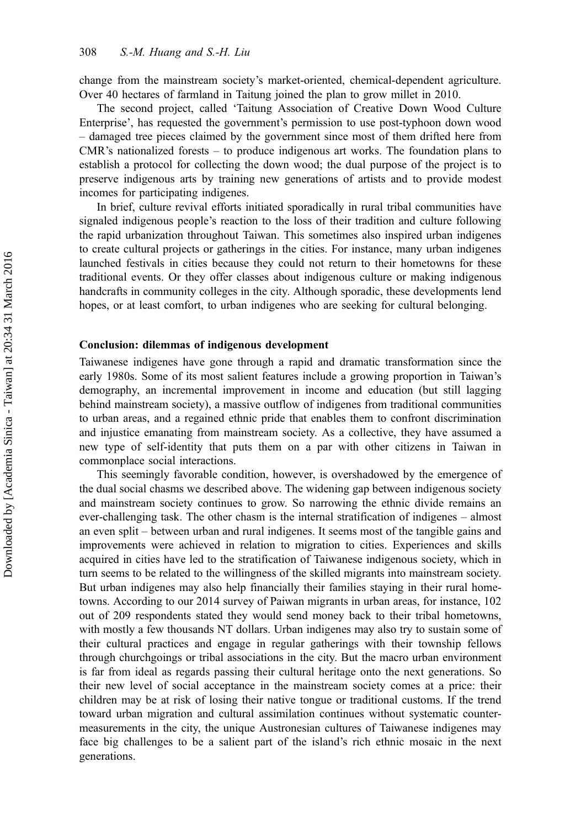change from the mainstream society's market-oriented, chemical-dependent agriculture. Over 40 hectares of farmland in Taitung joined the plan to grow millet in 2010.

The second project, called 'Taitung Association of Creative Down Wood Culture Enterprise', has requested the government's permission to use post-typhoon down wood – damaged tree pieces claimed by the government since most of them drifted here from CMR's nationalized forests – to produce indigenous art works. The foundation plans to establish a protocol for collecting the down wood; the dual purpose of the project is to preserve indigenous arts by training new generations of artists and to provide modest incomes for participating indigenes.

In brief, culture revival efforts initiated sporadically in rural tribal communities have signaled indigenous people's reaction to the loss of their tradition and culture following the rapid urbanization throughout Taiwan. This sometimes also inspired urban indigenes to create cultural projects or gatherings in the cities. For instance, many urban indigenes launched festivals in cities because they could not return to their hometowns for these traditional events. Or they offer classes about indigenous culture or making indigenous handcrafts in community colleges in the city. Although sporadic, these developments lend hopes, or at least comfort, to urban indigenes who are seeking for cultural belonging.

#### Conclusion: dilemmas of indigenous development

Taiwanese indigenes have gone through a rapid and dramatic transformation since the early 1980s. Some of its most salient features include a growing proportion in Taiwan's demography, an incremental improvement in income and education (but still lagging behind mainstream society), a massive outflow of indigenes from traditional communities to urban areas, and a regained ethnic pride that enables them to confront discrimination and injustice emanating from mainstream society. As a collective, they have assumed a new type of self-identity that puts them on a par with other citizens in Taiwan in commonplace social interactions.

This seemingly favorable condition, however, is overshadowed by the emergence of the dual social chasms we described above. The widening gap between indigenous society and mainstream society continues to grow. So narrowing the ethnic divide remains an ever-challenging task. The other chasm is the internal stratification of indigenes – almost an even split – between urban and rural indigenes. It seems most of the tangible gains and improvements were achieved in relation to migration to cities. Experiences and skills acquired in cities have led to the stratification of Taiwanese indigenous society, which in turn seems to be related to the willingness of the skilled migrants into mainstream society. But urban indigenes may also help financially their families staying in their rural hometowns. According to our 2014 survey of Paiwan migrants in urban areas, for instance, 102 out of 209 respondents stated they would send money back to their tribal hometowns, with mostly a few thousands NT dollars. Urban indigenes may also try to sustain some of their cultural practices and engage in regular gatherings with their township fellows through churchgoings or tribal associations in the city. But the macro urban environment is far from ideal as regards passing their cultural heritage onto the next generations. So their new level of social acceptance in the mainstream society comes at a price: their children may be at risk of losing their native tongue or traditional customs. If the trend toward urban migration and cultural assimilation continues without systematic countermeasurements in the city, the unique Austronesian cultures of Taiwanese indigenes may face big challenges to be a salient part of the island's rich ethnic mosaic in the next generations.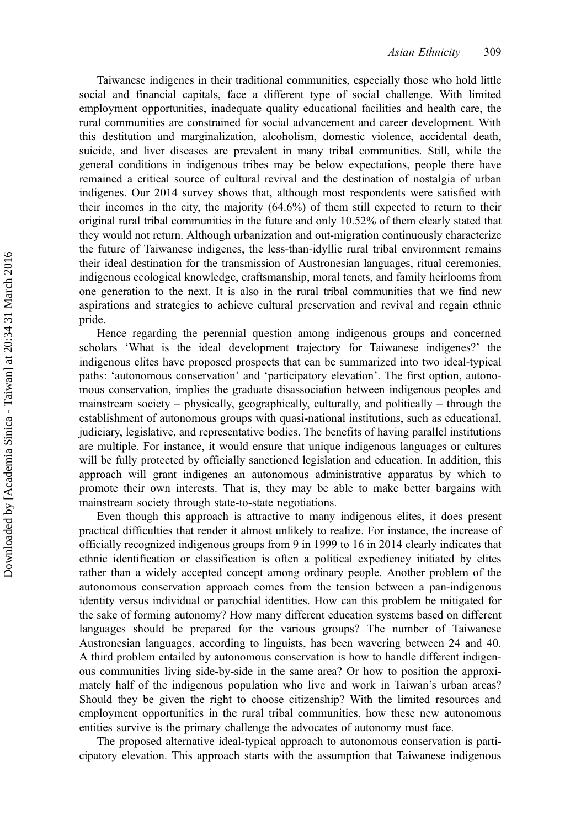Taiwanese indigenes in their traditional communities, especially those who hold little social and financial capitals, face a different type of social challenge. With limited employment opportunities, inadequate quality educational facilities and health care, the rural communities are constrained for social advancement and career development. With this destitution and marginalization, alcoholism, domestic violence, accidental death, suicide, and liver diseases are prevalent in many tribal communities. Still, while the general conditions in indigenous tribes may be below expectations, people there have remained a critical source of cultural revival and the destination of nostalgia of urban indigenes. Our 2014 survey shows that, although most respondents were satisfied with their incomes in the city, the majority (64.6%) of them still expected to return to their original rural tribal communities in the future and only 10.52% of them clearly stated that they would not return. Although urbanization and out-migration continuously characterize the future of Taiwanese indigenes, the less-than-idyllic rural tribal environment remains their ideal destination for the transmission of Austronesian languages, ritual ceremonies, indigenous ecological knowledge, craftsmanship, moral tenets, and family heirlooms from one generation to the next. It is also in the rural tribal communities that we find new aspirations and strategies to achieve cultural preservation and revival and regain ethnic pride.

Hence regarding the perennial question among indigenous groups and concerned scholars 'What is the ideal development trajectory for Taiwanese indigenes?' the indigenous elites have proposed prospects that can be summarized into two ideal-typical paths: 'autonomous conservation' and 'participatory elevation'. The first option, autonomous conservation, implies the graduate disassociation between indigenous peoples and mainstream society – physically, geographically, culturally, and politically – through the establishment of autonomous groups with quasi-national institutions, such as educational, judiciary, legislative, and representative bodies. The benefits of having parallel institutions are multiple. For instance, it would ensure that unique indigenous languages or cultures will be fully protected by officially sanctioned legislation and education. In addition, this approach will grant indigenes an autonomous administrative apparatus by which to promote their own interests. That is, they may be able to make better bargains with mainstream society through state-to-state negotiations.

Even though this approach is attractive to many indigenous elites, it does present practical difficulties that render it almost unlikely to realize. For instance, the increase of officially recognized indigenous groups from 9 in 1999 to 16 in 2014 clearly indicates that ethnic identification or classification is often a political expediency initiated by elites rather than a widely accepted concept among ordinary people. Another problem of the autonomous conservation approach comes from the tension between a pan-indigenous identity versus individual or parochial identities. How can this problem be mitigated for the sake of forming autonomy? How many different education systems based on different languages should be prepared for the various groups? The number of Taiwanese Austronesian languages, according to linguists, has been wavering between 24 and 40. A third problem entailed by autonomous conservation is how to handle different indigenous communities living side-by-side in the same area? Or how to position the approximately half of the indigenous population who live and work in Taiwan's urban areas? Should they be given the right to choose citizenship? With the limited resources and employment opportunities in the rural tribal communities, how these new autonomous entities survive is the primary challenge the advocates of autonomy must face.

The proposed alternative ideal-typical approach to autonomous conservation is participatory elevation. This approach starts with the assumption that Taiwanese indigenous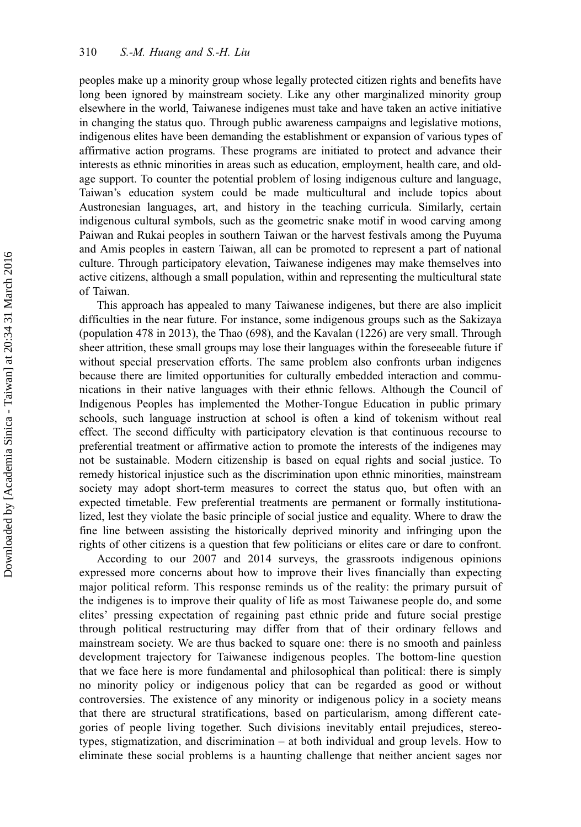peoples make up a minority group whose legally protected citizen rights and benefits have long been ignored by mainstream society. Like any other marginalized minority group elsewhere in the world, Taiwanese indigenes must take and have taken an active initiative in changing the status quo. Through public awareness campaigns and legislative motions, indigenous elites have been demanding the establishment or expansion of various types of affirmative action programs. These programs are initiated to protect and advance their interests as ethnic minorities in areas such as education, employment, health care, and oldage support. To counter the potential problem of losing indigenous culture and language, Taiwan's education system could be made multicultural and include topics about Austronesian languages, art, and history in the teaching curricula. Similarly, certain indigenous cultural symbols, such as the geometric snake motif in wood carving among Paiwan and Rukai peoples in southern Taiwan or the harvest festivals among the Puyuma and Amis peoples in eastern Taiwan, all can be promoted to represent a part of national culture. Through participatory elevation, Taiwanese indigenes may make themselves into active citizens, although a small population, within and representing the multicultural state of Taiwan.

This approach has appealed to many Taiwanese indigenes, but there are also implicit difficulties in the near future. For instance, some indigenous groups such as the Sakizaya (population 478 in 2013), the Thao (698), and the Kavalan (1226) are very small. Through sheer attrition, these small groups may lose their languages within the foreseeable future if without special preservation efforts. The same problem also confronts urban indigenes because there are limited opportunities for culturally embedded interaction and communications in their native languages with their ethnic fellows. Although the Council of Indigenous Peoples has implemented the Mother-Tongue Education in public primary schools, such language instruction at school is often a kind of tokenism without real effect. The second difficulty with participatory elevation is that continuous recourse to preferential treatment or affirmative action to promote the interests of the indigenes may not be sustainable. Modern citizenship is based on equal rights and social justice. To remedy historical injustice such as the discrimination upon ethnic minorities, mainstream society may adopt short-term measures to correct the status quo, but often with an expected timetable. Few preferential treatments are permanent or formally institutionalized, lest they violate the basic principle of social justice and equality. Where to draw the fine line between assisting the historically deprived minority and infringing upon the rights of other citizens is a question that few politicians or elites care or dare to confront.

According to our 2007 and 2014 surveys, the grassroots indigenous opinions expressed more concerns about how to improve their lives financially than expecting major political reform. This response reminds us of the reality: the primary pursuit of the indigenes is to improve their quality of life as most Taiwanese people do, and some elites' pressing expectation of regaining past ethnic pride and future social prestige through political restructuring may differ from that of their ordinary fellows and mainstream society. We are thus backed to square one: there is no smooth and painless development trajectory for Taiwanese indigenous peoples. The bottom-line question that we face here is more fundamental and philosophical than political: there is simply no minority policy or indigenous policy that can be regarded as good or without controversies. The existence of any minority or indigenous policy in a society means that there are structural stratifications, based on particularism, among different categories of people living together. Such divisions inevitably entail prejudices, stereotypes, stigmatization, and discrimination – at both individual and group levels. How to eliminate these social problems is a haunting challenge that neither ancient sages nor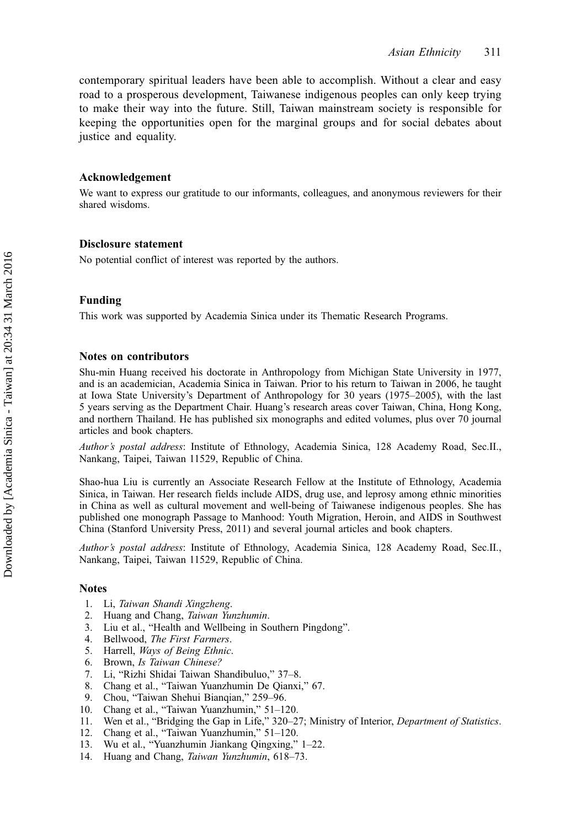<span id="page-18-0"></span>contemporary spiritual leaders have been able to accomplish. Without a clear and easy road to a prosperous development, Taiwanese indigenous peoples can only keep trying to make their way into the future. Still, Taiwan mainstream society is responsible for keeping the opportunities open for the marginal groups and for social debates about justice and equality.

### Acknowledgement

We want to express our gratitude to our informants, colleagues, and anonymous reviewers for their shared wisdoms.

#### Disclosure statement

No potential conflict of interest was reported by the authors.

# Funding

This work was supported by Academia Sinica under its Thematic Research Programs.

#### Notes on contributors

Shu-min Huang received his doctorate in Anthropology from Michigan State University in 1977, and is an academician, Academia Sinica in Taiwan. Prior to his return to Taiwan in 2006, he taught at Iowa State University's Department of Anthropology for 30 years (1975–2005), with the last 5 years serving as the Department Chair. Huang's research areas cover Taiwan, China, Hong Kong, and northern Thailand. He has published six monographs and edited volumes, plus over 70 journal articles and book chapters.

Author's postal address: Institute of Ethnology, Academia Sinica, 128 Academy Road, Sec.II., Nankang, Taipei, Taiwan 11529, Republic of China.

Shao-hua Liu is currently an Associate Research Fellow at the Institute of Ethnology, Academia Sinica, in Taiwan. Her research fields include AIDS, drug use, and leprosy among ethnic minorities in China as well as cultural movement and well-being of Taiwanese indigenous peoples. She has published one monograph Passage to Manhood: Youth Migration, Heroin, and AIDS in Southwest China (Stanford University Press, 2011) and several journal articles and book chapters.

Author's postal address: Institute of Ethnology, Academia Sinica, 128 Academy Road, Sec.II., Nankang, Taipei, Taiwan 11529, Republic of China.

#### Notes

- 1. Li, Taiwan Shandi Xingzheng.
- 2. Huang and Chang, Taiwan Yunzhumin.
- 3. Liu et al., "Health and Wellbeing in Southern Pingdong".
- 4. Bellwood, The First Farmers.
- 5. Harrell, Ways of Being Ethnic.
- 6. Brown, Is Taiwan Chinese?
- 7. Li, "Rizhi Shidai Taiwan Shandibuluo," 37–8.
- 8. Chang et al., "Taiwan Yuanzhumin De Qianxi," 67.
- 9. Chou, "Taiwan Shehui Bianqian," 259–96.
- 10. Chang et al., "Taiwan Yuanzhumin," 51–120.
- 11. Wen et al., "Bridging the Gap in Life," 320–27; Ministry of Interior, Department of Statistics.
- 12. Chang et al., "Taiwan Yuanzhumin," 51–120.
- 13. Wu et al., "Yuanzhumin Jiankang Qingxing," 1–22.
- 14. Huang and Chang, Taiwan Yunzhumin, 618–73.